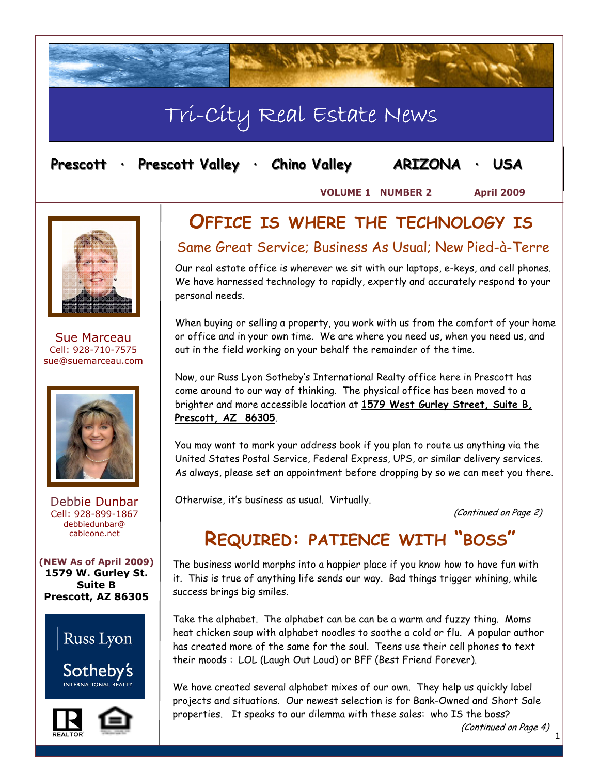# Tri-City Real Estate News

| Prescott |  | <b>Prescott Valley</b> |  | <b>Chino Valley</b> | ARIZONA |  | <b>USA</b> |
|----------|--|------------------------|--|---------------------|---------|--|------------|
|----------|--|------------------------|--|---------------------|---------|--|------------|

**VOLUME 1 NUMBER 2 April 2009** 





Sue Marceau Cell: 928-710-7575 sue@suemarceau.com



Debbie Dunbar Cell: 928-899-1867 debbiedunbar@ cableone.net

**(NEW As of April 2009) 1579 W. Gurley St. Suite B Prescott, AZ 86305** 





## **OFFICE IS WHERE THE TECHNOLOGY IS**

#### Same Great Service; Business As Usual; New Pied-à-Terre

Our real estate office is wherever we sit with our laptops, e-keys, and cell phones. We have harnessed technology to rapidly, expertly and accurately respond to your personal needs.

When buying or selling a property, you work with us from the comfort of your home or office and in your own time. We are where you need us, when you need us, and out in the field working on your behalf the remainder of the time.

Now, our Russ Lyon Sotheby's International Realty office here in Prescott has come around to our way of thinking. The physical office has been moved to a brighter and more accessible location at **1579 West Gurley Street, Suite B, Prescott, AZ 86305**.

You may want to mark your address book if you plan to route us anything via the United States Postal Service, Federal Express, UPS, or similar delivery services. As always, please set an appointment before dropping by so we can meet you there.

Otherwise, it's business as usual. Virtually.

(Continued on Page 2)

## **REQUIRED: PATIENCE WITH "BOSS"**

The business world morphs into a happier place if you know how to have fun with it. This is true of anything life sends our way. Bad things trigger whining, while success brings big smiles.

Take the alphabet. The alphabet can be can be a warm and fuzzy thing. Moms heat chicken soup with alphabet noodles to soothe a cold or flu. A popular author has created more of the same for the soul. Teens use their cell phones to text their moods : LOL (Laugh Out Loud) or BFF (Best Friend Forever).

We have created several alphabet mixes of our own. They help us quickly label projects and situations. Our newest selection is for Bank-Owned and Short Sale properties. It speaks to our dilemma with these sales: who IS the boss?

(Continued on Page 4)

1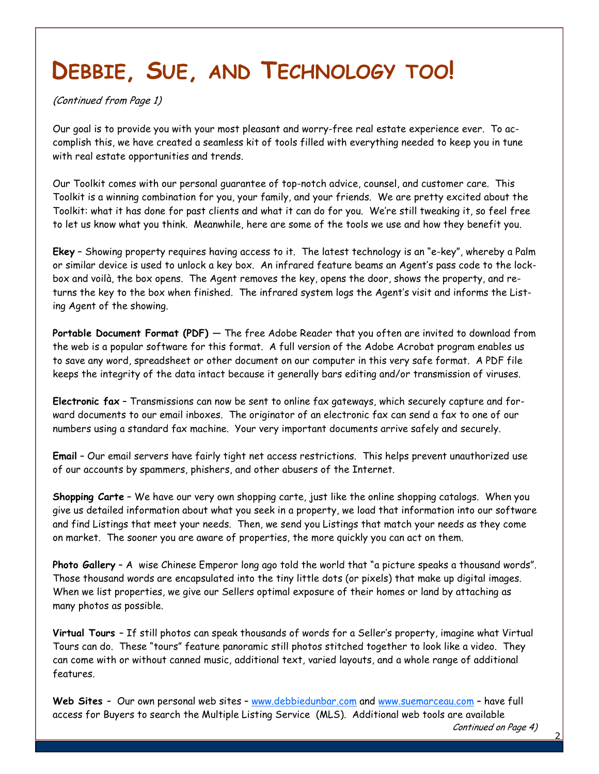# **DEBBIE, SUE, AND TECHNOLOGY TOO!**

(Continued from Page 1)

Our goal is to provide you with your most pleasant and worry-free real estate experience ever. To accomplish this, we have created a seamless kit of tools filled with everything needed to keep you in tune with real estate opportunities and trends.

Our Toolkit comes with our personal guarantee of top-notch advice, counsel, and customer care. This Toolkit is a winning combination for you, your family, and your friends. We are pretty excited about the Toolkit: what it has done for past clients and what it can do for you. We're still tweaking it, so feel free to let us know what you think. Meanwhile, here are some of the tools we use and how they benefit you.

**Ekey** – Showing property requires having access to it. The latest technology is an "e-key", whereby a Palm or similar device is used to unlock a key box. An infrared feature beams an Agent's pass code to the lockbox and voilà, the box opens. The Agent removes the key, opens the door, shows the property, and returns the key to the box when finished. The infrared system logs the Agent's visit and informs the Listing Agent of the showing.

**Portable Document Format (PDF)** — The free Adobe Reader that you often are invited to download from the web is a popular software for this format. A full version of the Adobe Acrobat program enables us to save any word, spreadsheet or other document on our computer in this very safe format. A PDF file keeps the integrity of the data intact because it generally bars editing and/or transmission of viruses.

**Electronic fax** – Transmissions can now be sent to online fax gateways, which securely capture and forward documents to our email inboxes. The originator of an electronic fax can send a fax to one of our numbers using a standard fax machine. Your very important documents arrive safely and securely.

**Email** – Our email servers have fairly tight net access restrictions. This helps prevent unauthorized use of our accounts by spammers, phishers, and other abusers of the Internet.

**Shopping Carte** – We have our very own shopping carte, just like the online shopping catalogs. When you give us detailed information about what you seek in a property, we load that information into our software and find Listings that meet your needs. Then, we send you Listings that match your needs as they come on market. The sooner you are aware of properties, the more quickly you can act on them.

**Photo Gallery** – A wise Chinese Emperor long ago told the world that "a picture speaks a thousand words". Those thousand words are encapsulated into the tiny little dots (or pixels) that make up digital images. When we list properties, we give our Sellers optimal exposure of their homes or land by attaching as many photos as possible.

**Virtual Tours** – If still photos can speak thousands of words for a Seller's property, imagine what Virtual Tours can do. These "tours" feature panoramic still photos stitched together to look like a video. They can come with or without canned music, additional text, varied layouts, and a whole range of additional features.

**Web Sites** – Our own personal web sites – www.debbiedunbar.com and www.suemarceau.com – have full access for Buyers to search the Multiple Listing Service (MLS). Additional web tools are available

2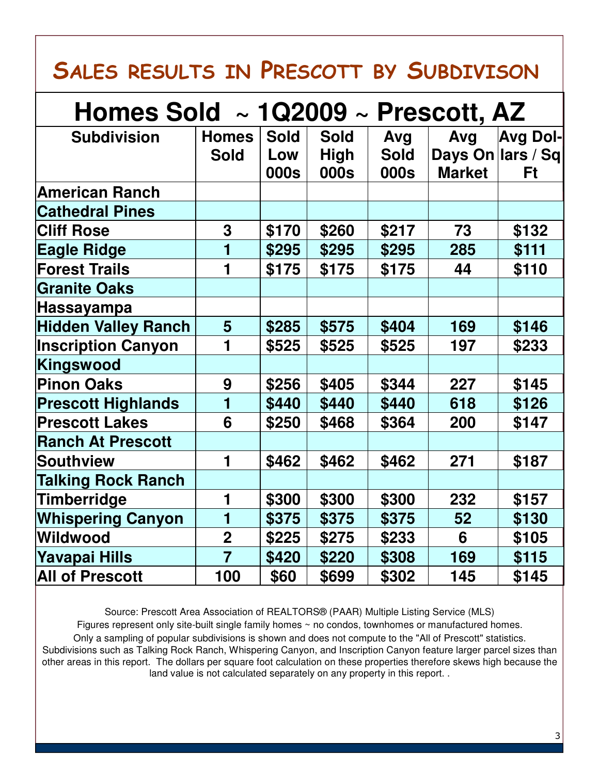# **SALES RESULTS IN PRESCOTT BY SUBDIVISON**

| Homes Sold $\sim$ 1Q2009 $\sim$ Prescott, AZ |                             |                    |                            |                    |               |                               |  |  |  |  |
|----------------------------------------------|-----------------------------|--------------------|----------------------------|--------------------|---------------|-------------------------------|--|--|--|--|
| <b>Subdivision</b>                           | <b>Homes</b><br><b>Sold</b> | <b>Sold</b><br>Low | <b>Sold</b><br><b>High</b> | Avg<br><b>Sold</b> | Avg           | Avg Dol-<br>Days On lars / Sq |  |  |  |  |
|                                              |                             | 000s               | 000s                       | 000s               | <b>Market</b> | Ft                            |  |  |  |  |
| <b>American Ranch</b>                        |                             |                    |                            |                    |               |                               |  |  |  |  |
| <b>Cathedral Pines</b>                       |                             |                    |                            |                    |               |                               |  |  |  |  |
| <b>Cliff Rose</b>                            | 3                           | \$170              | \$260                      | \$217              | 73            | \$132                         |  |  |  |  |
| <b>Eagle Ridge</b>                           | 1                           | \$295              | \$295                      | \$295              | 285           | \$111                         |  |  |  |  |
| <b>Forest Trails</b>                         | 1                           | \$175              | \$175                      | \$175              | 44            | \$110                         |  |  |  |  |
| <b>Granite Oaks</b>                          |                             |                    |                            |                    |               |                               |  |  |  |  |
| Hassayampa                                   |                             |                    |                            |                    |               |                               |  |  |  |  |
| <b>Hidden Valley Ranch</b>                   | 5                           | \$285              | \$575                      | \$404              | 169           | \$146                         |  |  |  |  |
| <b>Inscription Canyon</b>                    | 1                           | \$525              | \$525                      | \$525              | 197           | \$233                         |  |  |  |  |
| Kingswood                                    |                             |                    |                            |                    |               |                               |  |  |  |  |
| <b>Pinon Oaks</b>                            | 9                           | \$256              | \$405                      | \$344              | 227           | \$145                         |  |  |  |  |
| <b>Prescott Highlands</b>                    | 1                           | \$440              | \$440                      | \$440              | 618           | \$126                         |  |  |  |  |
| <b>Prescott Lakes</b>                        | 6                           | \$250              | \$468                      | \$364              | 200           | \$147                         |  |  |  |  |
| <b>Ranch At Prescott</b>                     |                             |                    |                            |                    |               |                               |  |  |  |  |
| <b>Southview</b>                             | $\blacksquare$              | \$462              | \$462                      | \$462              | 271           | \$187                         |  |  |  |  |
| <b>Talking Rock Ranch</b>                    |                             |                    |                            |                    |               |                               |  |  |  |  |
| Timberridge                                  | 1                           | \$300              | \$300                      | \$300              | 232           | \$157                         |  |  |  |  |
| <b>Whispering Canyon</b>                     | 1                           | \$375              | \$375                      | \$375              | 52            | \$130                         |  |  |  |  |
| <b>Wildwood</b>                              | $\overline{2}$              | \$225              | \$275                      | \$233              | 6             | \$105                         |  |  |  |  |
| Yavapai Hills                                | $\overline{7}$              | \$420              | \$220                      | \$308              | 169           | \$115                         |  |  |  |  |
| <b>All of Prescott</b>                       | 100                         | \$60               | \$699                      | \$302              | 145           | \$145                         |  |  |  |  |

Source: Prescott Area Association of REALTORS® (PAAR) Multiple Listing Service (MLS) Figures represent only site-built single family homes ~ no condos, townhomes or manufactured homes. Only a sampling of popular subdivisions is shown and does not compute to the "All of Prescott" statistics. Subdivisions such as Talking Rock Ranch, Whispering Canyon, and Inscription Canyon feature larger parcel sizes than other areas in this report. The dollars per square foot calculation on these properties therefore skews high because the land value is not calculated separately on any property in this report. .